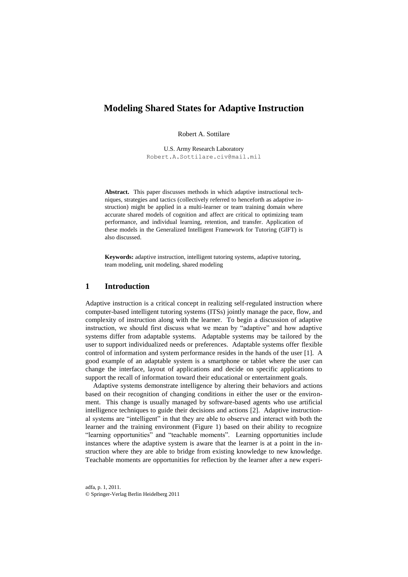# **Modeling Shared States for Adaptive Instruction**

Robert A. Sottilare

U.S. Army Research Laboratory [Robert.A.Sottilare.civ@mail.mil](mailto:Robert.A.Sottilare.civ@mail.mil)

**Abstract.** This paper discusses methods in which adaptive instructional techniques, strategies and tactics (collectively referred to henceforth as adaptive instruction) might be applied in a multi-learner or team training domain where accurate shared models of cognition and affect are critical to optimizing team performance, and individual learning, retention, and transfer. Application of these models in the Generalized Intelligent Framework for Tutoring (GIFT) is also discussed.

**Keywords:** adaptive instruction, intelligent tutoring systems, adaptive tutoring, team modeling, unit modeling, shared modeling

#### **1 Introduction**

Adaptive instruction is a critical concept in realizing self-regulated instruction where computer-based intelligent tutoring systems (ITSs) jointly manage the pace, flow, and complexity of instruction along with the learner. To begin a discussion of adaptive instruction, we should first discuss what we mean by "adaptive" and how adaptive systems differ from adaptable systems. Adaptable systems may be tailored by the user to support individualized needs or preferences. Adaptable systems offer flexible control of information and system performance resides in the hands of the user [1]. A good example of an adaptable system is a smartphone or tablet where the user can change the interface, layout of applications and decide on specific applications to support the recall of information toward their educational or entertainment goals.

Adaptive systems demonstrate intelligence by altering their behaviors and actions based on their recognition of changing conditions in either the user or the environment. This change is usually managed by software-based agents who use artificial intelligence techniques to guide their decisions and actions [2]. Adaptive instructional systems are "intelligent" in that they are able to observe and interact with both the learner and the training environment (Figure 1) based on their ability to recognize "learning opportunities" and "teachable moments". Learning opportunities include instances where the adaptive system is aware that the learner is at a point in the instruction where they are able to bridge from existing knowledge to new knowledge. Teachable moments are opportunities for reflection by the learner after a new experi-

adfa, p. 1, 2011. © Springer-Verlag Berlin Heidelberg 2011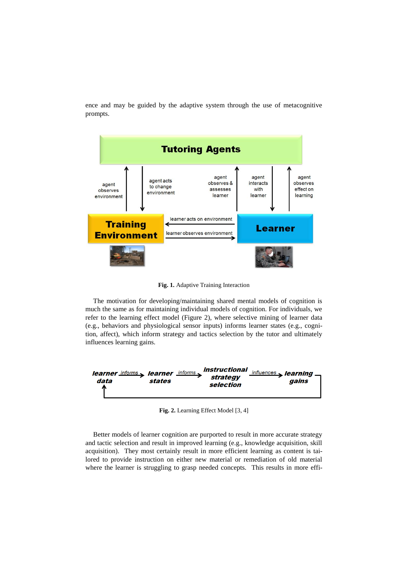ence and may be guided by the adaptive system through the use of metacognitive prompts.



**Fig. 1.** Adaptive Training Interaction

The motivation for developing/maintaining shared mental models of cognition is much the same as for maintaining individual models of cognition. For individuals, we refer to the learning effect model (Figure 2), where selective mining of learner data (e.g., behaviors and physiological sensor inputs) informs learner states (e.g., cognition, affect), which inform strategy and tactics selection by the tutor and ultimately influences learning gains.



**Fig. 2.** Learning Effect Model [3, 4]

Better models of learner cognition are purported to result in more accurate strategy and tactic selection and result in improved learning (e.g., knowledge acquisition, skill acquisition). They most certainly result in more efficient learning as content is tailored to provide instruction on either new material or remediation of old material where the learner is struggling to grasp needed concepts. This results in more effi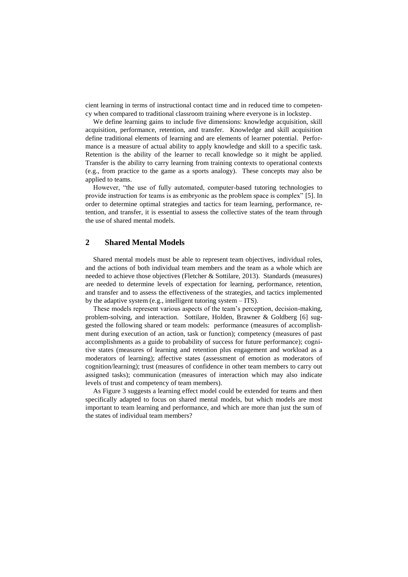cient learning in terms of instructional contact time and in reduced time to competency when compared to traditional classroom training where everyone is in lockstep.

We define learning gains to include five dimensions: knowledge acquisition, skill acquisition, performance, retention, and transfer. Knowledge and skill acquisition define traditional elements of learning and are elements of learner potential. Performance is a measure of actual ability to apply knowledge and skill to a specific task. Retention is the ability of the learner to recall knowledge so it might be applied. Transfer is the ability to carry learning from training contexts to operational contexts (e.g., from practice to the game as a sports analogy). These concepts may also be applied to teams.

However, "the use of fully automated, computer-based tutoring technologies to provide instruction for teams is as embryonic as the problem space is complex" [5]. In order to determine optimal strategies and tactics for team learning, performance, retention, and transfer, it is essential to assess the collective states of the team through the use of shared mental models.

## **2 Shared Mental Models**

Shared mental models must be able to represent team objectives, individual roles, and the actions of both individual team members and the team as a whole which are needed to achieve those objectives (Fletcher & Sottilare, 2013). Standards (measures) are needed to determine levels of expectation for learning, performance, retention, and transfer and to assess the effectiveness of the strategies, and tactics implemented by the adaptive system (e.g., intelligent tutoring system – ITS).

These models represent various aspects of the team's perception, decision-making, problem-solving, and interaction. Sottilare, Holden, Brawner & Goldberg [6] suggested the following shared or team models: performance (measures of accomplishment during execution of an action, task or function); competency (measures of past accomplishments as a guide to probability of success for future performance); cognitive states (measures of learning and retention plus engagement and workload as a moderators of learning); affective states (assessment of emotion as moderators of cognition/learning); trust (measures of confidence in other team members to carry out assigned tasks); communication (measures of interaction which may also indicate levels of trust and competency of team members).

As Figure 3 suggests a learning effect model could be extended for teams and then specifically adapted to focus on shared mental models, but which models are most important to team learning and performance, and which are more than just the sum of the states of individual team members?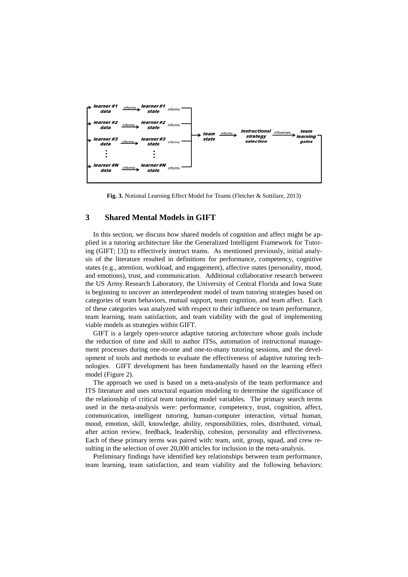

**Fig. 3.** Notional Learning Effect Model for Teams (Fletcher & Sottilare, 2013)

#### **3 Shared Mental Models in GIFT**

In this section, we discuss how shared models of cognition and affect might be applied in a tutoring architecture like the Generalized Intelligent Framework for Tutoring (GIFT; [3]) to effectively instruct teams. As mentioned previously, initial analysis of the literature resulted in definitions for performance, competency, cognitive states (e.g., attention, workload, and engagement), affective states (personality, mood, and emotions), trust, and communication. Additional collaborative research between the US Army Research Laboratory, the University of Central Florida and Iowa State is beginning to uncover an interdependent model of team tutoring strategies based on categories of team behaviors, mutual support, team cognition, and team affect. Each of these categories was analyzed with respect to their influence on team performance, team learning, team satisfaction, and team viability with the goal of implementing viable models as strategies within GIFT.

GIFT is a largely open-source adaptive tutoring architecture whose goals include the reduction of time and skill to author ITSs, automation of instructional management processes during one-to-one and one-to-many tutoring sessions, and the development of tools and methods to evaluate the effectiveness of adaptive tutoring technologies. GIFT development has been fundamentally based on the learning effect model (Figure 2).

The approach we used is based on a meta-analysis of the team performance and ITS literature and uses structural equation modeling to determine the significance of the relationship of critical team tutoring model variables. The primary search terms used in the meta-analysis were: performance, competency, trust, cognition, affect, communication, intelligent tutoring, human-computer interaction, virtual human, mood, emotion, skill, knowledge, ability, responsibilities, roles, distributed, virtual, after action review, feedback, leadership, cohesion, personality and effectiveness. Each of these primary terms was paired with: team, unit, group, squad, and crew resulting in the selection of over 20,000 articles for inclusion in the meta-analysis.

Preliminary findings have identified key relationships between team performance, team learning, team satisfaction, and team viability and the following behaviors: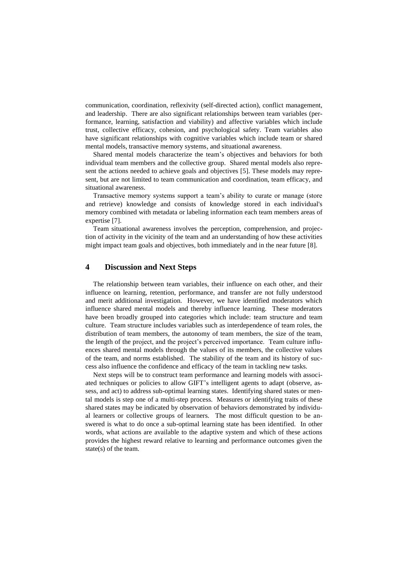communication, coordination, reflexivity (self-directed action), conflict management, and leadership. There are also significant relationships between team variables (performance, learning, satisfaction and viability) and affective variables which include trust, collective efficacy, cohesion, and psychological safety. Team variables also have significant relationships with cognitive variables which include team or shared mental models, transactive memory systems, and situational awareness.

Shared mental models characterize the team's objectives and behaviors for both individual team members and the collective group. Shared mental models also represent the actions needed to achieve goals and objectives [5]. These models may represent, but are not limited to team communication and coordination, team efficacy, and situational awareness.

Transactive memory systems support a team's ability to curate or manage (store and retrieve) knowledge and consists of knowledge stored in each individual's memory combined with metadata or labeling information each team members areas of expertise [7].

Team situational awareness involves the perception, comprehension, and projection of activity in the vicinity of the team and an understanding of how these activities might impact team goals and objectives, both immediately and in the near future [8].

### **4 Discussion and Next Steps**

The relationship between team variables, their influence on each other, and their influence on learning, retention, performance, and transfer are not fully understood and merit additional investigation. However, we have identified moderators which influence shared mental models and thereby influence learning. These moderators have been broadly grouped into categories which include: team structure and team culture. Team structure includes variables such as interdependence of team roles, the distribution of team members, the autonomy of team members, the size of the team, the length of the project, and the project's perceived importance. Team culture influences shared mental models through the values of its members, the collective values of the team, and norms established. The stability of the team and its history of success also influence the confidence and efficacy of the team in tackling new tasks.

Next steps will be to construct team performance and learning models with associated techniques or policies to allow GIFT's intelligent agents to adapt (observe, assess, and act) to address sub-optimal learning states. Identifying shared states or mental models is step one of a multi-step process. Measures or identifying traits of these shared states may be indicated by observation of behaviors demonstrated by individual learners or collective groups of learners. The most difficult question to be answered is what to do once a sub-optimal learning state has been identified. In other words, what actions are available to the adaptive system and which of these actions provides the highest reward relative to learning and performance outcomes given the state(s) of the team.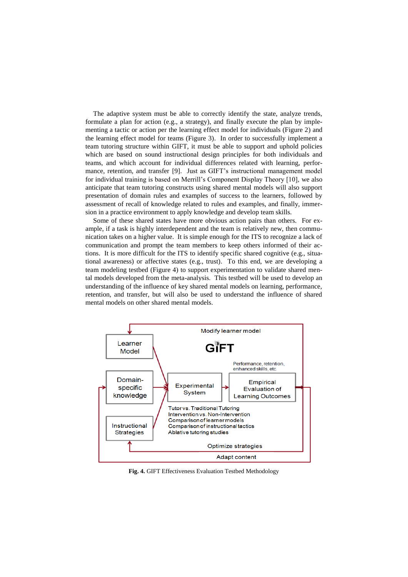The adaptive system must be able to correctly identify the state, analyze trends, formulate a plan for action (e.g., a strategy), and finally execute the plan by implementing a tactic or action per the learning effect model for individuals (Figure 2) and the learning effect model for teams (Figure 3). In order to successfully implement a team tutoring structure within GIFT, it must be able to support and uphold policies which are based on sound instructional design principles for both individuals and teams, and which account for individual differences related with learning, performance, retention, and transfer [9]. Just as GIFT's instructional management model for individual training is based on Merrill's Component Display Theory [10], we also anticipate that team tutoring constructs using shared mental models will also support presentation of domain rules and examples of success to the learners, followed by assessment of recall of knowledge related to rules and examples, and finally, immersion in a practice environment to apply knowledge and develop team skills.

Some of these shared states have more obvious action pairs than others. For example, if a task is highly interdependent and the team is relatively new, then communication takes on a higher value. It is simple enough for the ITS to recognize a lack of communication and prompt the team members to keep others informed of their actions. It is more difficult for the ITS to identify specific shared cognitive (e.g., situational awareness) or affective states (e.g., trust). To this end, we are developing a team modeling testbed (Figure 4) to support experimentation to validate shared mental models developed from the meta-analysis. This testbed will be used to develop an understanding of the influence of key shared mental models on learning, performance, retention, and transfer, but will also be used to understand the influence of shared mental models on other shared mental models.



**Fig. 4.** GIFT Effectiveness Evaluation Testbed Methodology